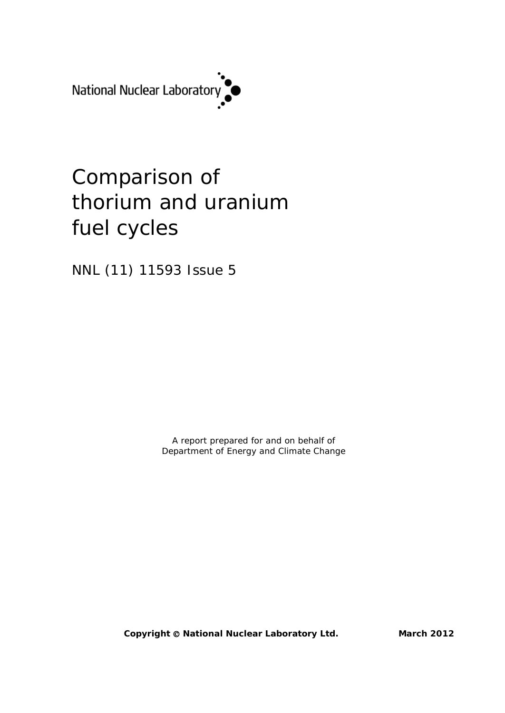National Nuclear Laboratory

# Comparison of thorium and uranium fuel cycles

<span id="page-0-2"></span><span id="page-0-1"></span><span id="page-0-0"></span>NNL (11) 11593 Issue 5

A report prepared for and on behalf of Department of Energy and Climate Change

*Copyright National Nuclear Laboratory Ltd. March 2012*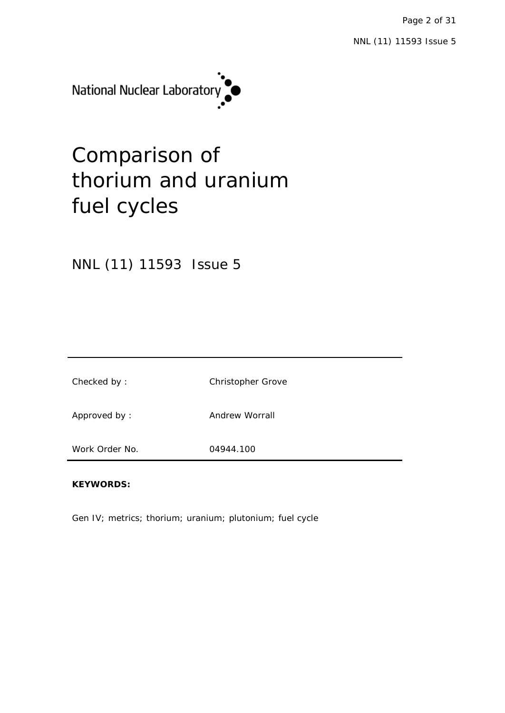Page 2 of 31 NNL (11) 11593 Issue 5



# Comparison of thorium and uranium fuel cycles

NNL [\(11\)](#page-0-0) 11593 [Issue 5](#page-0-1)

| Checked by:    | <b>Christopher Grove</b> |
|----------------|--------------------------|
| Approved by:   | Andrew Worrall           |
| Work Order No. | 04944.100                |

# **KEYWORDS:**

Gen IV; metrics; thorium; uranium; plutonium; fuel cycle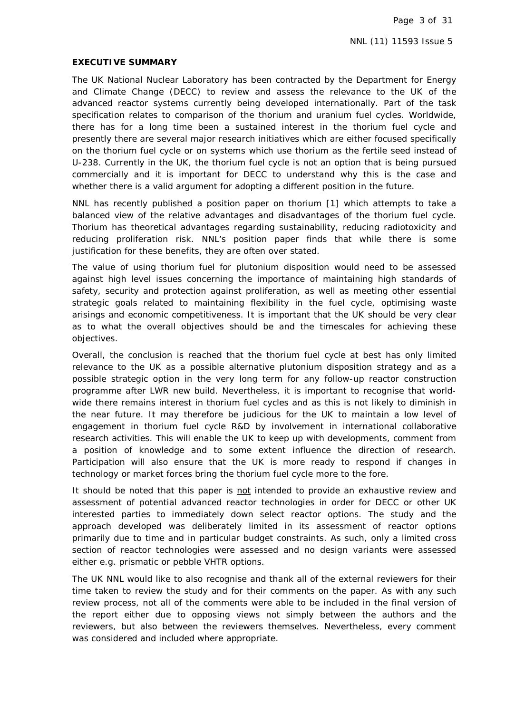#### **EXECUTIVE SUMMARY**

The UK National Nuclear Laboratory has been contracted by the Department for Energy and Climate Change (DECC) to review and assess the relevance to the UK of the advanced reactor systems currently being developed internationally. Part of the task specification relates to comparison of the thorium and uranium fuel cycles. Worldwide, there has for a long time been a sustained interest in the thorium fuel cycle and presently there are several major research initiatives which are either focused specifically on the thorium fuel cycle or on systems which use thorium as the fertile seed instead of U-238. Currently in the UK, the thorium fuel cycle is not an option that is being pursued commercially and it is important for DECC to understand why this is the case and whether there is a valid argument for adopting a different position in the future.

<span id="page-2-0"></span>NNL has recently published a position paper on thorium [1] which attempts to take a balanced view of the relative advantages and disadvantages of the thorium fuel cycle. Thorium has theoretical advantages regarding sustainability, reducing radiotoxicity and reducing proliferation risk. NNL's position paper finds that while there is some justification for these benefits, they are often over stated.

The value of using thorium fuel for plutonium disposition would need to be assessed against high level issues concerning the importance of maintaining high standards of safety, security and protection against proliferation, as well as meeting other essential strategic goals related to maintaining flexibility in the fuel cycle, optimising waste arisings and economic competitiveness. It is important that the UK should be very clear as to what the overall objectives should be and the timescales for achieving these objectives.

Overall, the conclusion is reached that the thorium fuel cycle at best has only limited relevance to the UK as a possible alternative plutonium disposition strategy and as a possible strategic option in the very long term for any follow-up reactor construction programme after LWR new build. Nevertheless, it is important to recognise that worldwide there remains interest in thorium fuel cycles and as this is not likely to diminish in the near future. It may therefore be judicious for the UK to maintain a low level of engagement in thorium fuel cycle R&D by involvement in international collaborative research activities. This will enable the UK to keep up with developments, comment from a position of knowledge and to some extent influence the direction of research. Participation will also ensure that the UK is more ready to respond if changes in technology or market forces bring the thorium fuel cycle more to the fore.

It should be noted that this paper is not intended to provide an exhaustive review and assessment of potential advanced reactor technologies in order for DECC or other UK interested parties to immediately down select reactor options. The study and the approach developed was deliberately limited in its assessment of reactor options primarily due to time and in particular budget constraints. As such, only a limited cross section of reactor technologies were assessed and no design variants were assessed either e.g. prismatic or pebble VHTR options.

The UK NNL would like to also recognise and thank all of the external reviewers for their time taken to review the study and for their comments on the paper. As with any such review process, not all of the comments were able to be included in the final version of the report either due to opposing views not simply between the authors and the reviewers, but also between the reviewers themselves. Nevertheless, every comment was considered and included where appropriate.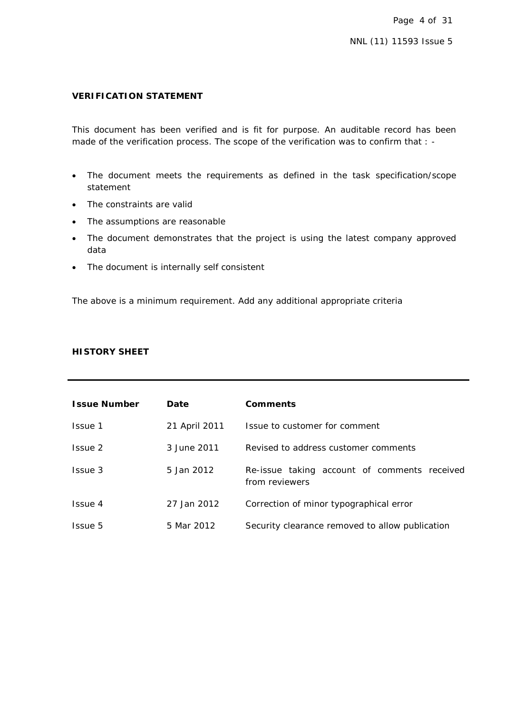## **VERIFICATION STATEMENT**

This document has been verified and is fit for purpose. An auditable record has been made of the verification process. The scope of the verification was to confirm that : -

- The document meets the requirements as defined in the task specification/scope statement
- The constraints are valid
- The assumptions are reasonable
- The document demonstrates that the project is using the latest company approved data
- The document is internally self consistent

The above is a minimum requirement. Add any additional appropriate criteria

| <b>Issue Number</b> | Date          | <b>Comments</b>                                                |
|---------------------|---------------|----------------------------------------------------------------|
| Issue 1             | 21 April 2011 | Issue to customer for comment                                  |
| Issue 2             | 3 June 2011   | Revised to address customer comments                           |
| <b>Issue 3</b>      | 5 Jan 2012    | Re-issue taking account of comments received<br>from reviewers |
| Issue 4             | 27 Jan 2012   | Correction of minor typographical error                        |
| Issue 5             | 5 Mar 2012    | Security clearance removed to allow publication                |

## **HISTORY SHEET**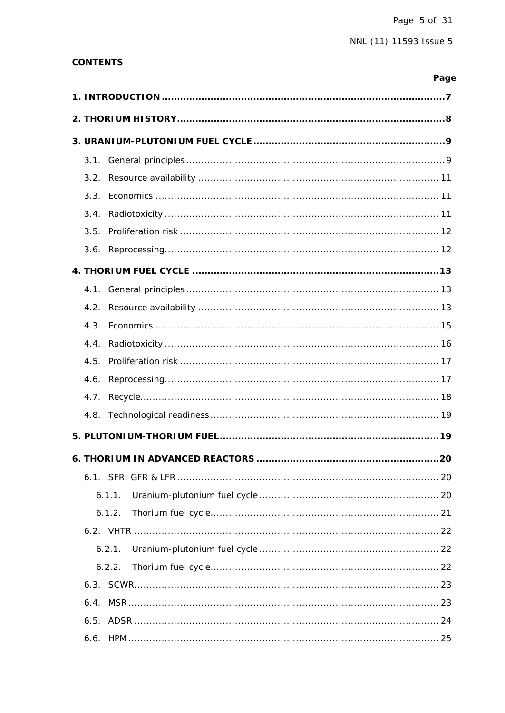NNL (11) 11593 Issue 5

# **CONTENTS**

| Page   |  |
|--------|--|
|        |  |
|        |  |
|        |  |
| 3.1.   |  |
|        |  |
| 3.3.   |  |
| 3.4.   |  |
| 3.5.   |  |
| 3.6.   |  |
|        |  |
|        |  |
|        |  |
| 4.3.   |  |
| 4.4.   |  |
| 4.5.   |  |
| 4.6.   |  |
| 4.7.   |  |
| 4.8.   |  |
|        |  |
|        |  |
|        |  |
| 6.1.1. |  |
| 6.1.2. |  |
|        |  |
| 6.2.1. |  |
| 6.2.2. |  |
|        |  |
|        |  |
|        |  |
|        |  |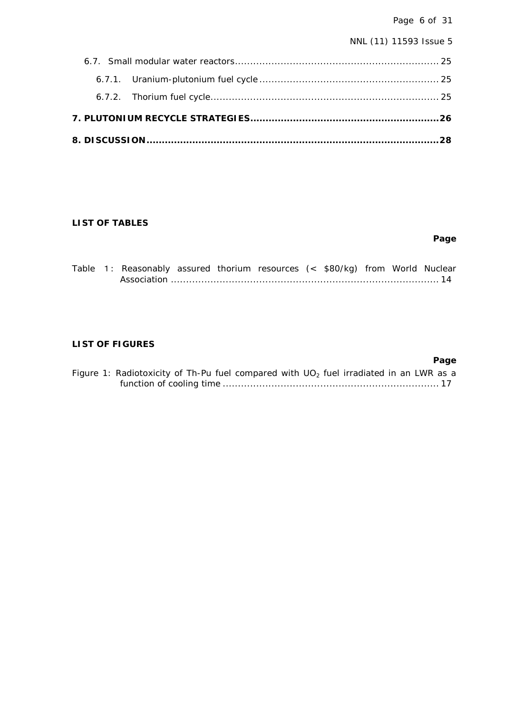NNL [\(11\)](#page-0-0) [11593](#page-0-2) Issue 5

# **LIST OF TABLES**

## **Page**

Table 1: Reasonably assured thorium resources (< \$80/kg) from World Nuclear Association ........................................................................................ 14

# **LIST OF FIGURES**

## **Page**

| Figure 1: Radiotoxicity of Th-Pu fuel compared with $UO_2$ fuel irradiated in an LWR as a |  |  |  |  |  |  |
|-------------------------------------------------------------------------------------------|--|--|--|--|--|--|
|                                                                                           |  |  |  |  |  |  |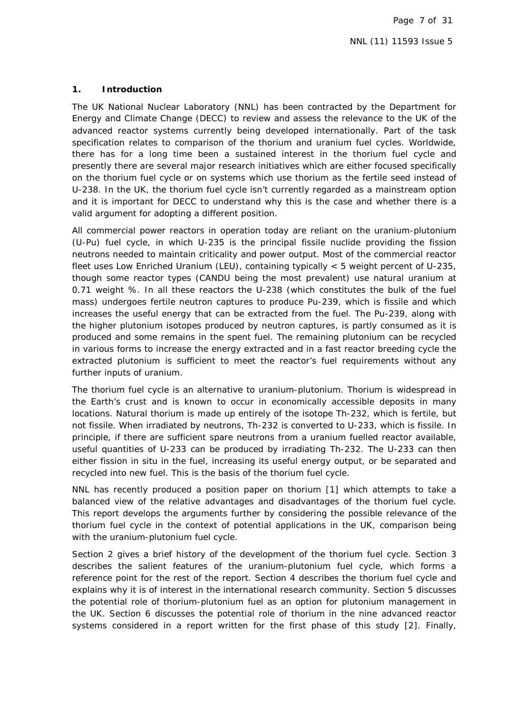## **1. Introduction**

The UK National Nuclear Laboratory (NNL) has been contracted by the Department for Energy and Climate Change (DECC) to review and assess the relevance to the UK of the advanced reactor systems currently being developed internationally. Part of the task specification relates to comparison of the thorium and uranium fuel cycles. Worldwide, there has for a long time been a sustained interest in the thorium fuel cycle and presently there are several major research initiatives which are either focused specifically on the thorium fuel cycle or on systems which use thorium as the fertile seed instead of U-238. In the UK, the thorium fuel cycle isn't currently regarded as a mainstream option and it is important for DECC to understand why this is the case and whether there is a valid argument for adopting a different position.

All commercial power reactors in operation today are reliant on the uranium-plutonium (U-Pu) fuel cycle, in which U-235 is the principal fissile nuclide providing the fission neutrons needed to maintain criticality and power output. Most of the commercial reactor fleet uses Low Enriched Uranium (LEU), containing typically < 5 weight percent of U-235, though some reactor types (CANDU being the most prevalent) use natural uranium at 0.71 weight %. In all these reactors the U-238 (which constitutes the bulk of the fuel mass) undergoes fertile neutron captures to produce Pu-239, which is fissile and which increases the useful energy that can be extracted from the fuel. The Pu-239, along with the higher plutonium isotopes produced by neutron captures, is partly consumed as it is produced and some remains in the spent fuel. The remaining plutonium can be recycled in various forms to increase the energy extracted and in a fast reactor breeding cycle the extracted plutonium is sufficient to meet the reactor's fuel requirements without any further inputs of uranium.

The thorium fuel cycle is an alternative to uranium-plutonium. Thorium is widespread in the Earth's crust and is known to occur in economically accessible deposits in many locations. Natural thorium is made up entirely of the isotope Th-232, which is fertile, but not fissile. When irradiated by neutrons, Th-232 is converted to U-233, which is fissile. In principle, if there are sufficient spare neutrons from a uranium fuelled reactor available, useful quantities of U-233 can be produced by irradiating Th-232. The U-233 can then either fission in situ in the fuel, increasing its useful energy output, or be separated and recycled into new fuel. This is the basis of the thorium fuel cycle.

NNL has recently produced a position paper on thorium [\[1\]](#page-2-0) which attempts to take a balanced view of the relative advantages and disadvantages of the thorium fuel cycle. This report develops the arguments further by considering the possible relevance of the thorium fuel cycle in the context of potential applications in the UK, comparison being with the uranium-plutonium fuel cycle.

<span id="page-6-0"></span>Section 2 gives a brief history of the development of the thorium fuel cycle. Section 3 describes the salient features of the uranium-plutonium fuel cycle, which forms a reference point for the rest of the report. Section 4 describes the thorium fuel cycle and explains why it is of interest in the international research community. Section 5 discusses the potential role of thorium-plutonium fuel as an option for plutonium management in the UK. Section 6 discusses the potential role of thorium in the nine advanced reactor systems considered in a report written for the first phase of this study [2]. Finally,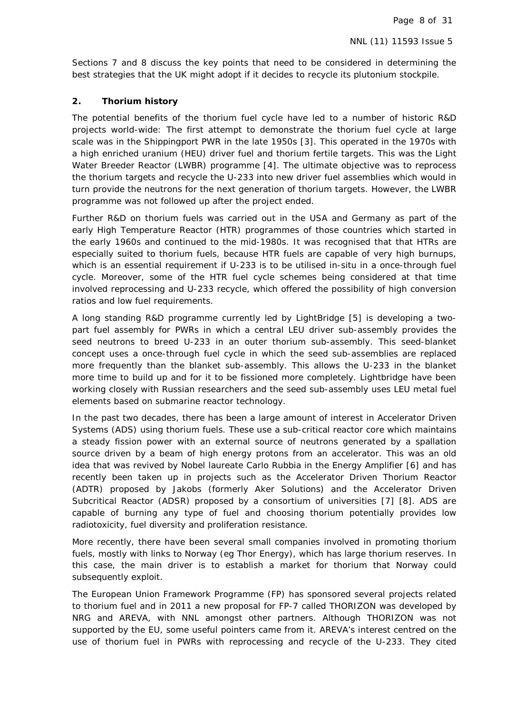Sections 7 and 8 discuss the key points that need to be considered in determining the best strategies that the UK might adopt if it decides to recycle its plutonium stockpile.

#### **2. Thorium history**

The potential benefits of the thorium fuel cycle have led to a number of historic R&D projects world-wide: The first attempt to demonstrate the thorium fuel cycle at large scale was in the Shippingport PWR in the late 1950s [3]. This operated in the 1970s with a high enriched uranium (HEU) driver fuel and thorium fertile targets. This was the Light Water Breeder Reactor (LWBR) programme [4]. The ultimate objective was to reprocess the thorium targets and recycle the U-233 into new driver fuel assemblies which would in turn provide the neutrons for the next generation of thorium targets. However, the LWBR programme was not followed up after the project ended.

Further R&D on thorium fuels was carried out in the USA and Germany as part of the early High Temperature Reactor (HTR) programmes of those countries which started in the early 1960s and continued to the mid-1980s. It was recognised that that HTRs are especially suited to thorium fuels, because HTR fuels are capable of very high burnups, which is an essential requirement if U-233 is to be utilised in-situ in a once-through fuel cycle. Moreover, some of the HTR fuel cycle schemes being considered at that time involved reprocessing and U-233 recycle, which offered the possibility of high conversion ratios and low fuel requirements.

<span id="page-7-1"></span>A long standing R&D programme currently led by LightBridge [5] is developing a twopart fuel assembly for PWRs in which a central LEU driver sub-assembly provides the seed neutrons to breed U-233 in an outer thorium sub-assembly. This seed-blanket concept uses a once-through fuel cycle in which the seed sub-assemblies are replaced more frequently than the blanket sub-assembly. This allows the U-233 in the blanket more time to build up and for it to be fissioned more completely. Lightbridge have been working closely with Russian researchers and the seed sub-assembly uses LEU metal fuel elements based on submarine reactor technology.

In the past two decades, there has been a large amount of interest in Accelerator Driven Systems (ADS) using thorium fuels. These use a sub-critical reactor core which maintains a steady fission power with an external source of neutrons generated by a spallation source driven by a beam of high energy protons from an accelerator. This was an old idea that was revived by Nobel laureate Carlo Rubbia in the Energy Amplifier [6] and has recently been taken up in projects such as the Accelerator Driven Thorium Reactor (ADTR) proposed by Jakobs (formerly Aker Solutions) and the Accelerator Driven Subcritical Reactor (ADSR) proposed by a consortium of universities [7] [8]. ADS are capable of burning any type of fuel and choosing thorium potentially provides low radiotoxicity, fuel diversity and proliferation resistance.

<span id="page-7-0"></span>More recently, there have been several small companies involved in promoting thorium fuels, mostly with links to Norway (eg Thor Energy), which has large thorium reserves. In this case, the main driver is to establish a market for thorium that Norway could subsequently exploit.

The European Union Framework Programme (FP) has sponsored several projects related to thorium fuel and in 2011 a new proposal for FP-7 called THORIZON was developed by NRG and AREVA, with NNL amongst other partners. Although THORIZON was not supported by the EU, some useful pointers came from it. AREVA's interest centred on the use of thorium fuel in PWRs with reprocessing and recycle of the U-233. They cited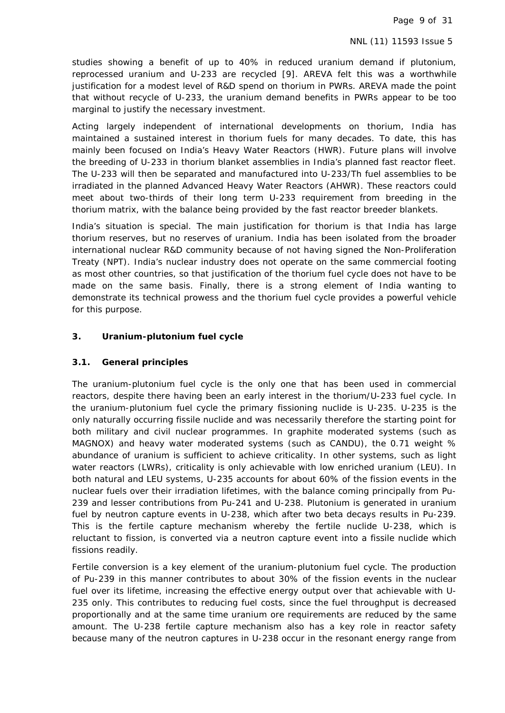<span id="page-8-1"></span><span id="page-8-0"></span>NNL [\(11\)](#page-0-0) [11593](#page-0-2) Issue 5

studies showing a benefit of up to 40% in reduced uranium demand if plutonium, reprocessed uranium and U-233 are recycled [9]. AREVA felt this was a worthwhile justification for a modest level of R&D spend on thorium in PWRs. AREVA made the point that without recycle of U-233, the uranium demand benefits in PWRs appear to be too marginal to justify the necessary investment.

Acting largely independent of international developments on thorium, India has maintained a sustained interest in thorium fuels for many decades. To date, this has mainly been focused on India's Heavy Water Reactors (HWR). Future plans will involve the breeding of U-233 in thorium blanket assemblies in India's planned fast reactor fleet. The U-233 will then be separated and manufactured into U-233/Th fuel assemblies to be irradiated in the planned Advanced Heavy Water Reactors (AHWR). These reactors could meet about two-thirds of their long term U-233 requirement from breeding in the thorium matrix, with the balance being provided by the fast reactor breeder blankets.

India's situation is special. The main justification for thorium is that India has large thorium reserves, but no reserves of uranium. India has been isolated from the broader international nuclear R&D community because of not having signed the Non-Proliferation Treaty (NPT). India's nuclear industry does not operate on the same commercial footing as most other countries, so that justification of the thorium fuel cycle does not have to be made on the same basis. Finally, there is a strong element of India wanting to demonstrate its technical prowess and the thorium fuel cycle provides a powerful vehicle for this purpose.

#### **3. Uranium-plutonium fuel cycle**

#### *3.1. General principles*

The uranium-plutonium fuel cycle is the only one that has been used in commercial reactors, despite there having been an early interest in the thorium/U-233 fuel cycle. In the uranium-plutonium fuel cycle the primary fissioning nuclide is U-235. U-235 is the only naturally occurring fissile nuclide and was necessarily therefore the starting point for both military and civil nuclear programmes. In graphite moderated systems (such as MAGNOX) and heavy water moderated systems (such as CANDU), the 0.71 weight % abundance of uranium is sufficient to achieve criticality. In other systems, such as light water reactors (LWRs), criticality is only achievable with low enriched uranium (LEU). In both natural and LEU systems, U-235 accounts for about 60% of the fission events in the nuclear fuels over their irradiation lifetimes, with the balance coming principally from Pu-239 and lesser contributions from Pu-241 and U-238. Plutonium is generated in uranium fuel by neutron capture events in U-238, which after two beta decays results in Pu-239. This is the fertile capture mechanism whereby the fertile nuclide U-238, which is reluctant to fission, is converted via a neutron capture event into a fissile nuclide which fissions readily.

Fertile conversion is a key element of the uranium-plutonium fuel cycle. The production of Pu-239 in this manner contributes to about 30% of the fission events in the nuclear fuel over its lifetime, increasing the effective energy output over that achievable with U-235 only. This contributes to reducing fuel costs, since the fuel throughput is decreased proportionally and at the same time uranium ore requirements are reduced by the same amount. The U-238 fertile capture mechanism also has a key role in reactor safety because many of the neutron captures in U-238 occur in the resonant energy range from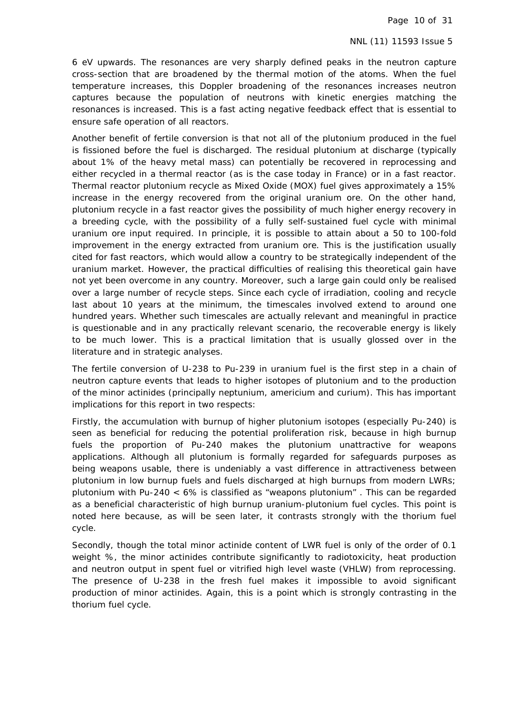6 eV upwards. The resonances are very sharply defined peaks in the neutron capture cross-section that are broadened by the thermal motion of the atoms. When the fuel temperature increases, this Doppler broadening of the resonances increases neutron captures because the population of neutrons with kinetic energies matching the resonances is increased. This is a fast acting negative feedback effect that is essential to ensure safe operation of all reactors.

Another benefit of fertile conversion is that not all of the plutonium produced in the fuel is fissioned before the fuel is discharged. The residual plutonium at discharge (typically about 1% of the heavy metal mass) can potentially be recovered in reprocessing and either recycled in a thermal reactor (as is the case today in France) or in a fast reactor. Thermal reactor plutonium recycle as Mixed Oxide (MOX) fuel gives approximately a 15% increase in the energy recovered from the original uranium ore. On the other hand, plutonium recycle in a fast reactor gives the possibility of much higher energy recovery in a breeding cycle, with the possibility of a fully self-sustained fuel cycle with minimal uranium ore input required. In principle, it is possible to attain about a 50 to 100-fold improvement in the energy extracted from uranium ore. This is the justification usually cited for fast reactors, which would allow a country to be strategically independent of the uranium market. However, the practical difficulties of realising this theoretical gain have not yet been overcome in any country. Moreover, such a large gain could only be realised over a large number of recycle steps. Since each cycle of irradiation, cooling and recycle last about 10 years at the minimum, the timescales involved extend to around one hundred years. Whether such timescales are actually relevant and meaningful in practice is questionable and in any practically relevant scenario, the recoverable energy is likely to be much lower. This is a practical limitation that is usually glossed over in the literature and in strategic analyses.

The fertile conversion of U-238 to Pu-239 in uranium fuel is the first step in a chain of neutron capture events that leads to higher isotopes of plutonium and to the production of the minor actinides (principally neptunium, americium and curium). This has important implications for this report in two respects:

Firstly, the accumulation with burnup of higher plutonium isotopes (especially Pu-240) is seen as beneficial for reducing the potential proliferation risk, because in high burnup fuels the proportion of Pu-240 makes the plutonium unattractive for weapons applications. Although all plutonium is formally regarded for safeguards purposes as being weapons usable, there is undeniably a vast difference in attractiveness between plutonium in low burnup fuels and fuels discharged at high burnups from modern LWRs; plutonium with Pu-240  $<$  6% is classified as "weapons plutonium". This can be regarded as a beneficial characteristic of high burnup uranium-plutonium fuel cycles. This point is noted here because, as will be seen later, it contrasts strongly with the thorium fuel cycle.

Secondly, though the total minor actinide content of LWR fuel is only of the order of 0.1 weight %, the minor actinides contribute significantly to radiotoxicity, heat production and neutron output in spent fuel or vitrified high level waste (VHLW) from reprocessing. The presence of U-238 in the fresh fuel makes it impossible to avoid significant production of minor actinides. Again, this is a point which is strongly contrasting in the thorium fuel cycle.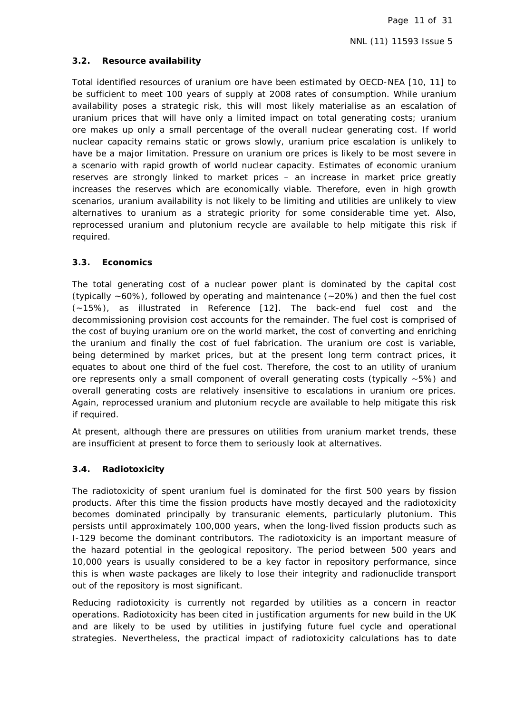# *3.2. Resource availability*

Total identified resources of uranium ore have been estimated by OECD-NEA [10, 11] to be sufficient to meet 100 years of supply at 2008 rates of consumption. While uranium availability poses a strategic risk, this will most likely materialise as an escalation of uranium prices that will have only a limited impact on total generating costs; uranium ore makes up only a small percentage of the overall nuclear generating cost. If world nuclear capacity remains static or grows slowly, uranium price escalation is unlikely to have be a major limitation. Pressure on uranium ore prices is likely to be most severe in a scenario with rapid growth of world nuclear capacity. Estimates of economic uranium reserves are strongly linked to market prices – an increase in market price greatly increases the reserves which are economically viable. Therefore, even in high growth scenarios, uranium availability is not likely to be limiting and utilities are unlikely to view alternatives to uranium as a strategic priority for some considerable time yet. Also, reprocessed uranium and plutonium recycle are available to help mitigate this risk if required.

# *3.3. Economics*

The total generating cost of a nuclear power plant is dominated by the capital cost (typically ~60%), followed by operating and maintenance (~20%) and then the fuel cost (~15%), as illustrated in Reference [12]. The back-end fuel cost and the decommissioning provision cost accounts for the remainder. The fuel cost is comprised of the cost of buying uranium ore on the world market, the cost of converting and enriching the uranium and finally the cost of fuel fabrication. The uranium ore cost is variable, being determined by market prices, but at the present long term contract prices, it equates to about one third of the fuel cost. Therefore, the cost to an utility of uranium ore represents only a small component of overall generating costs (typically  $~5\%$ ) and overall generating costs are relatively insensitive to escalations in uranium ore prices. Again, reprocessed uranium and plutonium recycle are available to help mitigate this risk if required.

At present, although there are pressures on utilities from uranium market trends, these are insufficient at present to force them to seriously look at alternatives.

# *3.4. Radiotoxicity*

The radiotoxicity of spent uranium fuel is dominated for the first 500 years by fission products. After this time the fission products have mostly decayed and the radiotoxicity becomes dominated principally by transuranic elements, particularly plutonium. This persists until approximately 100,000 years, when the long-lived fission products such as I-129 become the dominant contributors. The radiotoxicity is an important measure of the hazard potential in the geological repository. The period between 500 years and 10,000 years is usually considered to be a key factor in repository performance, since this is when waste packages are likely to lose their integrity and radionuclide transport out of the repository is most significant.

Reducing radiotoxicity is currently not regarded by utilities as a concern in reactor operations. Radiotoxicity has been cited in justification arguments for new build in the UK and are likely to be used by utilities in justifying future fuel cycle and operational strategies. Nevertheless, the practical impact of radiotoxicity calculations has to date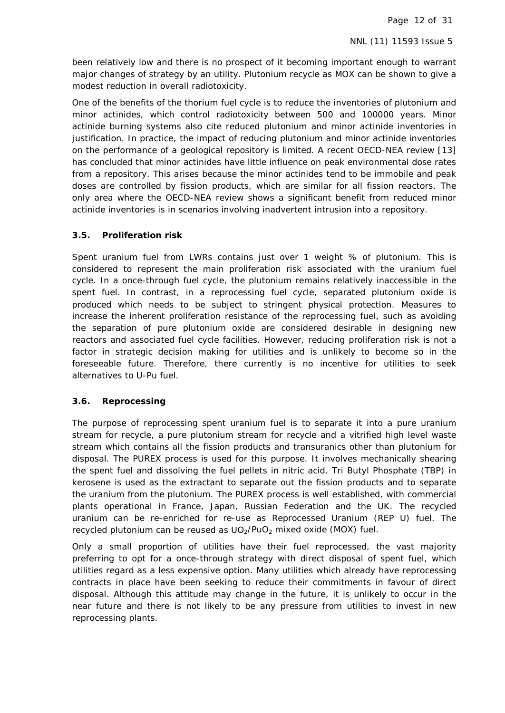been relatively low and there is no prospect of it becoming important enough to warrant major changes of strategy by an utility. Plutonium recycle as MOX can be shown to give a modest reduction in overall radiotoxicity.

One of the benefits of the thorium fuel cycle is to reduce the inventories of plutonium and minor actinides, which control radiotoxicity between 500 and 100000 years. Minor actinide burning systems also cite reduced plutonium and minor actinide inventories in justification. In practice, the impact of reducing plutonium and minor actinide inventories on the performance of a geological repository is limited. A recent OECD-NEA review [13] has concluded that minor actinides have little influence on peak environmental dose rates from a repository. This arises because the minor actinides tend to be immobile and peak doses are controlled by fission products, which are similar for all fission reactors. The only area where the OECD-NEA review shows a significant benefit from reduced minor actinide inventories is in scenarios involving inadvertent intrusion into a repository.

## *3.5. Proliferation risk*

Spent uranium fuel from LWRs contains just over 1 weight % of plutonium. This is considered to represent the main proliferation risk associated with the uranium fuel cycle. In a once-through fuel cycle, the plutonium remains relatively inaccessible in the spent fuel. In contrast, in a reprocessing fuel cycle, separated plutonium oxide is produced which needs to be subject to stringent physical protection. Measures to increase the inherent proliferation resistance of the reprocessing fuel, such as avoiding the separation of pure plutonium oxide are considered desirable in designing new reactors and associated fuel cycle facilities. However, reducing proliferation risk is not a factor in strategic decision making for utilities and is unlikely to become so in the foreseeable future. Therefore, there currently is no incentive for utilities to seek alternatives to U-Pu fuel.

#### *3.6. Reprocessing*

The purpose of reprocessing spent uranium fuel is to separate it into a pure uranium stream for recycle, a pure plutonium stream for recycle and a vitrified high level waste stream which contains all the fission products and transuranics other than plutonium for disposal. The PUREX process is used for this purpose. It involves mechanically shearing the spent fuel and dissolving the fuel pellets in nitric acid. Tri Butyl Phosphate (TBP) in kerosene is used as the extractant to separate out the fission products and to separate the uranium from the plutonium. The PUREX process is well established, with commercial plants operational in France, Japan, Russian Federation and the UK. The recycled uranium can be re-enriched for re-use as Reprocessed Uranium (REP U) fuel. The recycled plutonium can be reused as  $U_2$ /PuO<sub>2</sub> mixed oxide (MOX) fuel.

Only a small proportion of utilities have their fuel reprocessed, the vast majority preferring to opt for a once-through strategy with direct disposal of spent fuel, which utilities regard as a less expensive option. Many utilities which already have reprocessing contracts in place have been seeking to reduce their commitments in favour of direct disposal. Although this attitude may change in the future, it is unlikely to occur in the near future and there is not likely to be any pressure from utilities to invest in new reprocessing plants.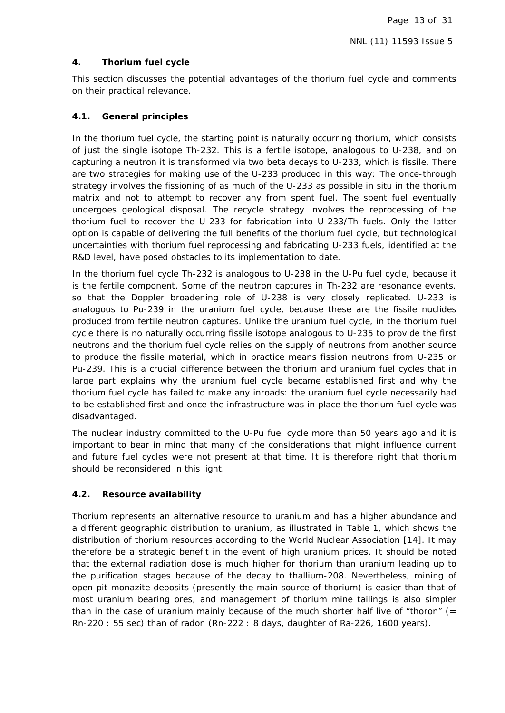## **4. Thorium fuel cycle**

This section discusses the potential advantages of the thorium fuel cycle and comments on their practical relevance.

## *4.1. General principles*

In the thorium fuel cycle, the starting point is naturally occurring thorium, which consists of just the single isotope Th-232. This is a fertile isotope, analogous to U-238, and on capturing a neutron it is transformed via two beta decays to U-233, which is fissile. There are two strategies for making use of the U-233 produced in this way: The once-through strategy involves the fissioning of as much of the U-233 as possible in situ in the thorium matrix and not to attempt to recover any from spent fuel. The spent fuel eventually undergoes geological disposal. The recycle strategy involves the reprocessing of the thorium fuel to recover the U-233 for fabrication into U-233/Th fuels. Only the latter option is capable of delivering the full benefits of the thorium fuel cycle, but technological uncertainties with thorium fuel reprocessing and fabricating U-233 fuels, identified at the R&D level, have posed obstacles to its implementation to date.

In the thorium fuel cycle Th-232 is analogous to U-238 in the U-Pu fuel cycle, because it is the fertile component. Some of the neutron captures in Th-232 are resonance events, so that the Doppler broadening role of U-238 is very closely replicated. U-233 is analogous to Pu-239 in the uranium fuel cycle, because these are the fissile nuclides produced from fertile neutron captures. Unlike the uranium fuel cycle, in the thorium fuel cycle there is no naturally occurring fissile isotope analogous to U-235 to provide the first neutrons and the thorium fuel cycle relies on the supply of neutrons from another source to produce the fissile material, which in practice means fission neutrons from U-235 or Pu-239. This is a crucial difference between the thorium and uranium fuel cycles that in large part explains why the uranium fuel cycle became established first and why the thorium fuel cycle has failed to make any inroads: the uranium fuel cycle necessarily had to be established first and once the infrastructure was in place the thorium fuel cycle was disadvantaged.

The nuclear industry committed to the U-Pu fuel cycle more than 50 years ago and it is important to bear in mind that many of the considerations that might influence current and future fuel cycles were not present at that time. It is therefore right that thorium should be reconsidered in this light.

# *4.2. Resource availability*

Thorium represents an alternative resource to uranium and has a higher abundance and a different geographic distribution to uranium, as illustrated in Table 1, which shows the distribution of thorium resources according to the World Nuclear Association [14]. It may therefore be a strategic benefit in the event of high uranium prices. It should be noted that the external radiation dose is much higher for thorium than uranium leading up to the purification stages because of the decay to thallium-208. Nevertheless, mining of open pit monazite deposits (presently the main source of thorium) is easier than that of most uranium bearing ores, and management of thorium mine tailings is also simpler than in the case of uranium mainly because of the much shorter half live of "thoron" (= Rn-220 : 55 sec) than of radon (Rn-222 : 8 days, daughter of Ra-226, 1600 years).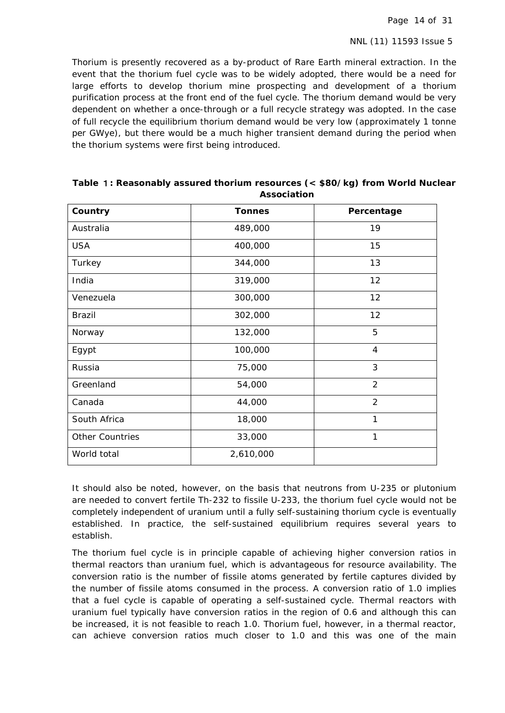Thorium is presently recovered as a by-product of Rare Earth mineral extraction. In the event that the thorium fuel cycle was to be widely adopted, there would be a need for large efforts to develop thorium mine prospecting and development of a thorium purification process at the front end of the fuel cycle. The thorium demand would be very dependent on whether a once-through or a full recycle strategy was adopted. In the case of full recycle the equilibrium thorium demand would be very low (approximately 1 tonne per GWye), but there would be a much higher transient demand during the period when the thorium systems were first being introduced.

| Country                | <b>Tonnes</b> | Percentage     |
|------------------------|---------------|----------------|
| Australia              | 489,000       | 19             |
| <b>USA</b>             | 400,000       | 15             |
| Turkey                 | 344,000       | 13             |
| India                  | 319,000       | 12             |
| Venezuela              | 300,000       | 12             |
| <b>Brazil</b>          | 302,000       | 12             |
| Norway                 | 132,000       | 5              |
| Egypt                  | 100,000       | $\overline{4}$ |
| Russia                 | 75,000        | 3              |
| Greenland              | 54,000        | $\overline{2}$ |
| Canada                 | 44,000        | $\overline{2}$ |
| South Africa           | 18,000        | 1              |
| <b>Other Countries</b> | 33,000        | 1              |
| World total            | 2,610,000     |                |

**Table** 1**: Reasonably assured thorium resources (< \$80/kg) from World Nuclear Association**

It should also be noted, however, on the basis that neutrons from U-235 or plutonium are needed to convert fertile Th-232 to fissile U-233, the thorium fuel cycle would not be completely independent of uranium until a fully self-sustaining thorium cycle is eventually established. In practice, the self-sustained equilibrium requires several years to establish.

The thorium fuel cycle is in principle capable of achieving higher conversion ratios in thermal reactors than uranium fuel, which is advantageous for resource availability. The conversion ratio is the number of fissile atoms generated by fertile captures divided by the number of fissile atoms consumed in the process. A conversion ratio of 1.0 implies that a fuel cycle is capable of operating a self-sustained cycle. Thermal reactors with uranium fuel typically have conversion ratios in the region of 0.6 and although this can be increased, it is not feasible to reach 1.0. Thorium fuel, however, in a thermal reactor, can achieve conversion ratios much closer to 1.0 and this was one of the main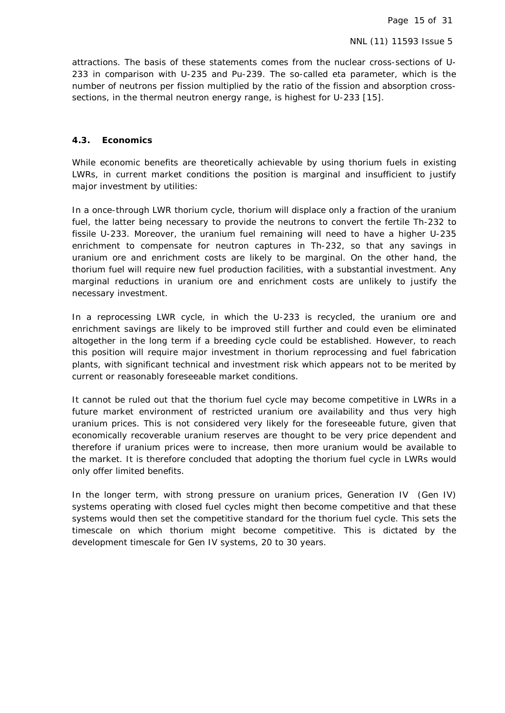attractions. The basis of these statements comes from the nuclear cross-sections of U-233 in comparison with U-235 and Pu-239. The so-called eta parameter, which is the number of neutrons per fission multiplied by the ratio of the fission and absorption crosssections, in the thermal neutron energy range, is highest for U-233 [15].

### *4.3. Economics*

While economic benefits are theoretically achievable by using thorium fuels in existing LWRs, in current market conditions the position is marginal and insufficient to justify major investment by utilities:

In a once-through LWR thorium cycle, thorium will displace only a fraction of the uranium fuel, the latter being necessary to provide the neutrons to convert the fertile Th-232 to fissile U-233. Moreover, the uranium fuel remaining will need to have a higher U-235 enrichment to compensate for neutron captures in Th-232, so that any savings in uranium ore and enrichment costs are likely to be marginal. On the other hand, the thorium fuel will require new fuel production facilities, with a substantial investment. Any marginal reductions in uranium ore and enrichment costs are unlikely to justify the necessary investment.

In a reprocessing LWR cycle, in which the U-233 is recycled, the uranium ore and enrichment savings are likely to be improved still further and could even be eliminated altogether in the long term if a breeding cycle could be established. However, to reach this position will require major investment in thorium reprocessing and fuel fabrication plants, with significant technical and investment risk which appears not to be merited by current or reasonably foreseeable market conditions.

It cannot be ruled out that the thorium fuel cycle may become competitive in LWRs in a future market environment of restricted uranium ore availability and thus very high uranium prices. This is not considered very likely for the foreseeable future, given that economically recoverable uranium reserves are thought to be very price dependent and therefore if uranium prices were to increase, then more uranium would be available to the market. It is therefore concluded that adopting the thorium fuel cycle in LWRs would only offer limited benefits.

In the longer term, with strong pressure on uranium prices, Generation IV (Gen IV) systems operating with closed fuel cycles might then become competitive and that these systems would then set the competitive standard for the thorium fuel cycle. This sets the timescale on which thorium might become competitive. This is dictated by the development timescale for Gen IV systems, 20 to 30 years.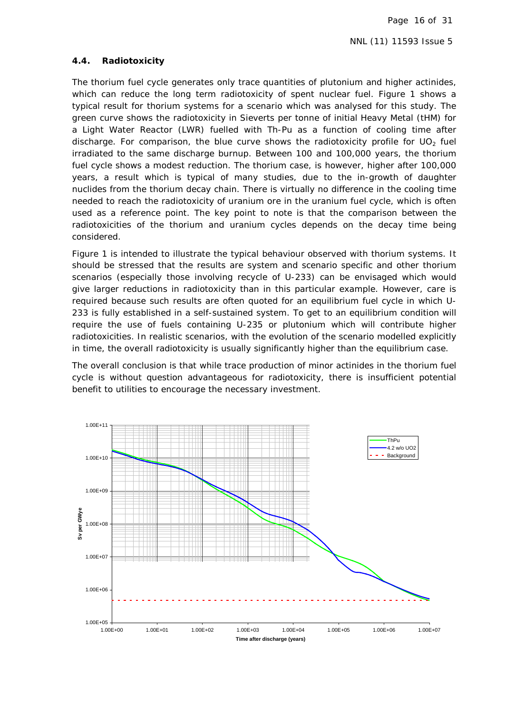# *4.4. Radiotoxicity*

The thorium fuel cycle generates only trace quantities of plutonium and higher actinides, which can reduce the long term radiotoxicity of spent nuclear fuel. Figure 1 shows a typical result for thorium systems for a scenario which was analysed for this study. The green curve shows the radiotoxicity in Sieverts per tonne of initial Heavy Metal (tHM) for a Light Water Reactor (LWR) fuelled with Th-Pu as a function of cooling time after discharge. For comparison, the blue curve shows the radiotoxicity profile for  $UO<sub>2</sub>$  fuel irradiated to the same discharge burnup. Between 100 and 100,000 years, the thorium fuel cycle shows a modest reduction. The thorium case, is however, higher after 100,000 years, a result which is typical of many studies, due to the in-growth of daughter nuclides from the thorium decay chain. There is virtually no difference in the cooling time needed to reach the radiotoxicity of uranium ore in the uranium fuel cycle, which is often used as a reference point. The key point to note is that the comparison between the radiotoxicities of the thorium and uranium cycles depends on the decay time being considered.

Figure 1 is intended to illustrate the typical behaviour observed with thorium systems. It should be stressed that the results are system and scenario specific and other thorium scenarios (especially those involving recycle of U-233) can be envisaged which would give larger reductions in radiotoxicity than in this particular example. However, care is required because such results are often quoted for an equilibrium fuel cycle in which U-233 is fully established in a self-sustained system. To get to an equilibrium condition will require the use of fuels containing U-235 or plutonium which will contribute higher radiotoxicities. In realistic scenarios, with the evolution of the scenario modelled explicitly in time, the overall radiotoxicity is usually significantly higher than the equilibrium case.

The overall conclusion is that while trace production of minor actinides in the thorium fuel cycle is without question advantageous for radiotoxicity, there is insufficient potential benefit to utilities to encourage the necessary investment.

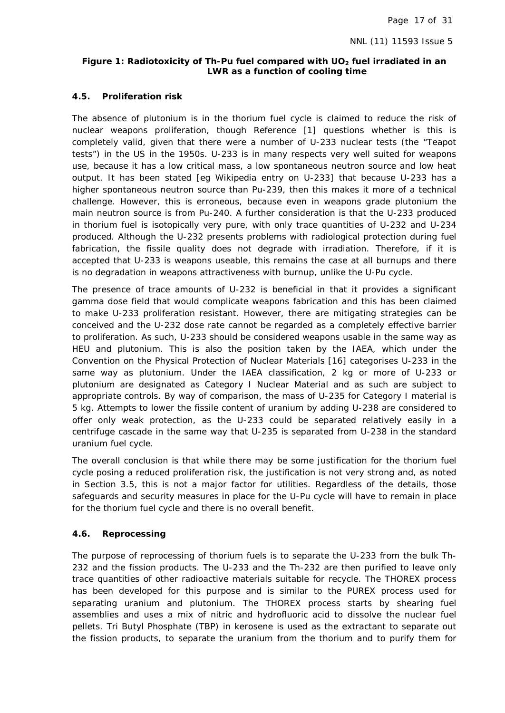## Figure 1: Radiotoxicity of Th-Pu fuel compared with UO<sub>2</sub> fuel irradiated in an **LWR as a function of cooling time**

#### *4.5. Proliferation risk*

The absence of plutonium is in the thorium fuel cycle is claimed to reduce the risk of nuclear weapons proliferation, though Reference [\[1\]](#page-2-0) questions whether is this is completely valid, given that there were a number of U-233 nuclear tests (the "Teapot tests") in the US in the 1950s. U-233 is in many respects very well suited for weapons use, because it has a low critical mass, a low spontaneous neutron source and low heat output. It has been stated [eg Wikipedia entry on U-233] that because U-233 has a higher spontaneous neutron source than Pu-239, then this makes it more of a technical challenge. However, this is erroneous, because even in weapons grade plutonium the main neutron source is from Pu-240. A further consideration is that the U-233 produced in thorium fuel is isotopically very pure, with only trace quantities of U-232 and U-234 produced. Although the U-232 presents problems with radiological protection during fuel fabrication, the fissile quality does not degrade with irradiation. Therefore, if it is accepted that U-233 is weapons useable, this remains the case at all burnups and there is no degradation in weapons attractiveness with burnup, unlike the U-Pu cycle.

The presence of trace amounts of U-232 is beneficial in that it provides a significant gamma dose field that would complicate weapons fabrication and this has been claimed to make U-233 proliferation resistant. However, there are mitigating strategies can be conceived and the U-232 dose rate cannot be regarded as a completely effective barrier to proliferation. As such, U-233 should be considered weapons usable in the same way as HEU and plutonium. This is also the position taken by the IAEA, which under the Convention on the Physical Protection of Nuclear Materials [16] categorises U-233 in the same way as plutonium. Under the IAEA classification, 2 kg or more of U-233 or plutonium are designated as Category I Nuclear Material and as such are subject to appropriate controls. By way of comparison, the mass of U-235 for Category I material is 5 kg. Attempts to lower the fissile content of uranium by adding U-238 are considered to offer only weak protection, as the U-233 could be separated relatively easily in a centrifuge cascade in the same way that U-235 is separated from U-238 in the standard uranium fuel cycle.

The overall conclusion is that while there may be some justification for the thorium fuel cycle posing a reduced proliferation risk, the justification is not very strong and, as noted in Section 3.5, this is not a major factor for utilities. Regardless of the details, those safeguards and security measures in place for the U-Pu cycle will have to remain in place for the thorium fuel cycle and there is no overall benefit.

#### *4.6. Reprocessing*

The purpose of reprocessing of thorium fuels is to separate the U-233 from the bulk Th-232 and the fission products. The U-233 and the Th-232 are then purified to leave only trace quantities of other radioactive materials suitable for recycle. The THOREX process has been developed for this purpose and is similar to the PUREX process used for separating uranium and plutonium. The THOREX process starts by shearing fuel assemblies and uses a mix of nitric and hydrofluoric acid to dissolve the nuclear fuel pellets. Tri Butyl Phosphate (TBP) in kerosene is used as the extractant to separate out the fission products, to separate the uranium from the thorium and to purify them for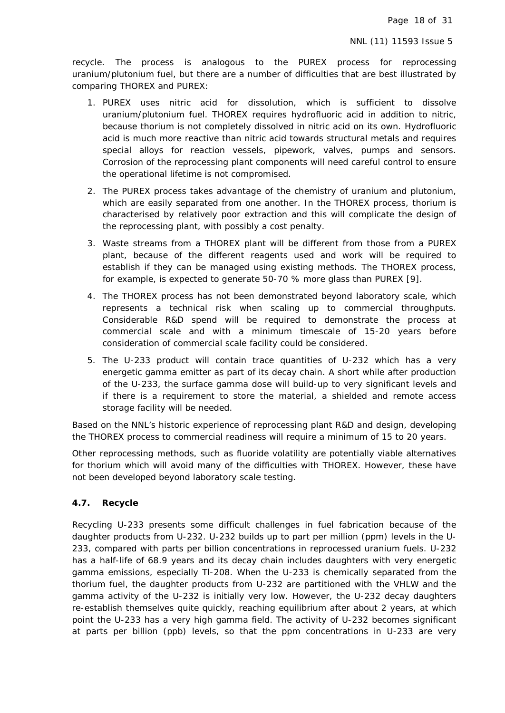recycle. The process is analogous to the PUREX process for reprocessing uranium/plutonium fuel, but there are a number of difficulties that are best illustrated by comparing THOREX and PUREX:

- 1. PUREX uses nitric acid for dissolution, which is sufficient to dissolve uranium/plutonium fuel. THOREX requires hydrofluoric acid in addition to nitric, because thorium is not completely dissolved in nitric acid on its own. Hydrofluoric acid is much more reactive than nitric acid towards structural metals and requires special alloys for reaction vessels, pipework, valves, pumps and sensors. Corrosion of the reprocessing plant components will need careful control to ensure the operational lifetime is not compromised.
- 2. The PUREX process takes advantage of the chemistry of uranium and plutonium, which are easily separated from one another. In the THOREX process, thorium is characterised by relatively poor extraction and this will complicate the design of the reprocessing plant, with possibly a cost penalty.
- 3. Waste streams from a THOREX plant will be different from those from a PUREX plant, because of the different reagents used and work will be required to establish if they can be managed using existing methods. The THOREX process, for example, is expected to generate 50-70 % more glass than PUREX [\[9\]](#page-8-0).
- 4. The THOREX process has not been demonstrated beyond laboratory scale, which represents a technical risk when scaling up to commercial throughputs. Considerable R&D spend will be required to demonstrate the process at commercial scale and with a minimum timescale of 15-20 years before consideration of commercial scale facility could be considered.
- 5. The U-233 product will contain trace quantities of U-232 which has a very energetic gamma emitter as part of its decay chain. A short while after production of the U-233, the surface gamma dose will build-up to very significant levels and if there is a requirement to store the material, a shielded and remote access storage facility will be needed.

Based on the NNL's historic experience of reprocessing plant R&D and design, developing the THOREX process to commercial readiness will require a minimum of 15 to 20 years.

Other reprocessing methods, such as fluoride volatility are potentially viable alternatives for thorium which will avoid many of the difficulties with THOREX. However, these have not been developed beyond laboratory scale testing.

# *4.7. Recycle*

Recycling U-233 presents some difficult challenges in fuel fabrication because of the daughter products from U-232. U-232 builds up to part per million (ppm) levels in the U-233, compared with parts per billion concentrations in reprocessed uranium fuels. U-232 has a half-life of 68.9 years and its decay chain includes daughters with very energetic gamma emissions, especially Tl-208. When the U-233 is chemically separated from the thorium fuel, the daughter products from U-232 are partitioned with the VHLW and the gamma activity of the U-232 is initially very low. However, the U-232 decay daughters re-establish themselves quite quickly, reaching equilibrium after about 2 years, at which point the U-233 has a very high gamma field. The activity of U-232 becomes significant at parts per billion (ppb) levels, so that the ppm concentrations in U-233 are very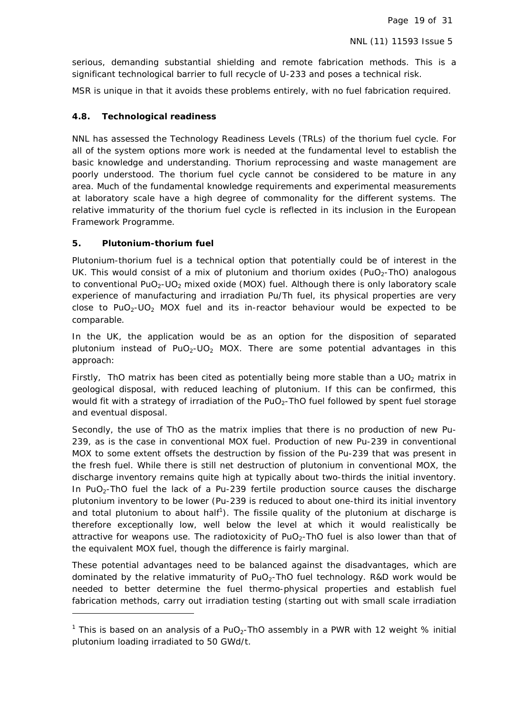serious, demanding substantial shielding and remote fabrication methods. This is a significant technological barrier to full recycle of U-233 and poses a technical risk.

MSR is unique in that it avoids these problems entirely, with no fuel fabrication required.

## *4.8. Technological readiness*

NNL has assessed the Technology Readiness Levels (TRLs) of the thorium fuel cycle. For all of the system options more work is needed at the fundamental level to establish the basic knowledge and understanding. Thorium reprocessing and waste management are poorly understood. The thorium fuel cycle cannot be considered to be mature in any area. Much of the fundamental knowledge requirements and experimental measurements at laboratory scale have a high degree of commonality for the different systems. The relative immaturity of the thorium fuel cycle is reflected in its inclusion in the European Framework Programme.

## **5. Plutonium-thorium fuel**

i<br>I

Plutonium-thorium fuel is a technical option that potentially could be of interest in the UK. This would consist of a mix of plutonium and thorium oxides (PuO<sub>2</sub>-ThO) analogous to conventional PuO<sub>2</sub>-UO<sub>2</sub> mixed oxide (MOX) fuel. Although there is only laboratory scale experience of manufacturing and irradiation Pu/Th fuel, its physical properties are very close to  $PuO<sub>2</sub>-UO<sub>2</sub>$  MOX fuel and its in-reactor behaviour would be expected to be comparable.

In the UK, the application would be as an option for the disposition of separated plutonium instead of PuO<sub>2</sub>-UO<sub>2</sub> MOX. There are some potential advantages in this approach:

Firstly, ThO matrix has been cited as potentially being more stable than a  $UO<sub>2</sub>$  matrix in geological disposal, with reduced leaching of plutonium. If this can be confirmed, this would fit with a strategy of irradiation of the PuO<sub>2</sub>-ThO fuel followed by spent fuel storage and eventual disposal.

Secondly, the use of ThO as the matrix implies that there is no production of new Pu-239, as is the case in conventional MOX fuel. Production of new Pu-239 in conventional MOX to some extent offsets the destruction by fission of the Pu-239 that was present in the fresh fuel. While there is still net destruction of plutonium in conventional MOX, the discharge inventory remains quite high at typically about two-thirds the initial inventory. In PuO<sub>2</sub>-ThO fuel the lack of a Pu-239 fertile production source causes the discharge plutonium inventory to be lower (Pu-239 is reduced to about one-third its initial inventory and total plutonium to about half<sup>1</sup>). The fissile quality of the plutonium at discharge is therefore exceptionally low, well below the level at which it would realistically be attractive for weapons use. The radiotoxicity of  $PuO<sub>2</sub>-ThO$  fuel is also lower than that of the equivalent MOX fuel, though the difference is fairly marginal.

These potential advantages need to be balanced against the disadvantages, which are dominated by the relative immaturity of  $PuO<sub>2</sub>-ThO$  fuel technology. R&D work would be needed to better determine the fuel thermo-physical properties and establish fuel fabrication methods, carry out irradiation testing (starting out with small scale irradiation

<sup>&</sup>lt;sup>1</sup> This is based on an analysis of a PuO<sub>2</sub>-ThO assembly in a PWR with 12 weight % initial plutonium loading irradiated to 50 GWd/t.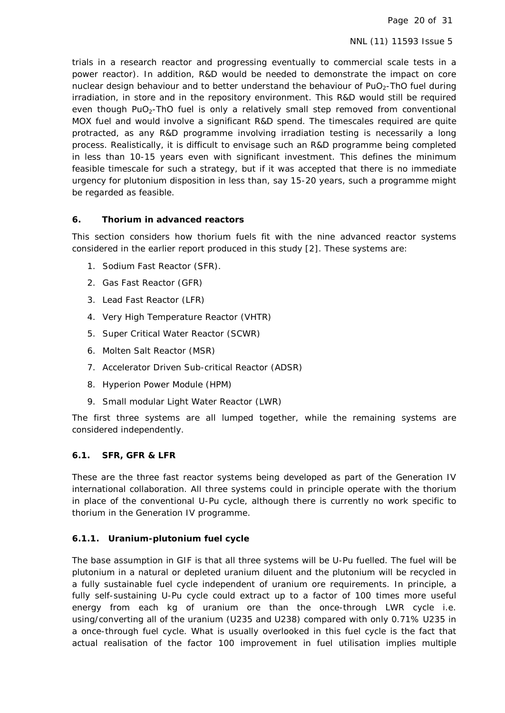NNL [\(11\)](#page-0-0) [11593](#page-0-2) Issue 5

trials in a research reactor and progressing eventually to commercial scale tests in a power reactor). In addition, R&D would be needed to demonstrate the impact on core nuclear design behaviour and to better understand the behaviour of  $PuO<sub>2</sub>-ThO$  fuel during irradiation, in store and in the repository environment. This R&D would still be required even though PuO<sub>2</sub>-ThO fuel is only a relatively small step removed from conventional MOX fuel and would involve a significant R&D spend. The timescales required are quite protracted, as any R&D programme involving irradiation testing is necessarily a long process. Realistically, it is difficult to envisage such an R&D programme being completed in less than 10-15 years even with significant investment. This defines the minimum feasible timescale for such a strategy, but if it was accepted that there is no immediate urgency for plutonium disposition in less than, say 15-20 years, such a programme might be regarded as feasible.

## **6. Thorium in advanced reactors**

This section considers how thorium fuels fit with the nine advanced reactor systems considered in the earlier report produced in this study [\[2\]](#page-6-0). These systems are:

- 1. Sodium Fast Reactor (SFR).
- 2. Gas Fast Reactor (GFR)
- 3. Lead Fast Reactor (LFR)
- 4. Very High Temperature Reactor (VHTR)
- 5. Super Critical Water Reactor (SCWR)
- 6. Molten Salt Reactor (MSR)
- 7. Accelerator Driven Sub-critical Reactor (ADSR)
- 8. Hyperion Power Module (HPM)
- 9. Small modular Light Water Reactor (LWR)

The first three systems are all lumped together, while the remaining systems are considered independently.

#### *6.1. SFR, GFR & LFR*

These are the three fast reactor systems being developed as part of the Generation IV international collaboration. All three systems could in principle operate with the thorium in place of the conventional U-Pu cycle, although there is currently no work specific to thorium in the Generation IV programme.

#### *6.1.1. Uranium-plutonium fuel cycle*

The base assumption in GIF is that all three systems will be U-Pu fuelled. The fuel will be plutonium in a natural or depleted uranium diluent and the plutonium will be recycled in a fully sustainable fuel cycle independent of uranium ore requirements. In principle, a fully self-sustaining U-Pu cycle could extract up to a factor of 100 times more useful energy from each kg of uranium ore than the once-through LWR cycle i.e. using/converting all of the uranium (U235 and U238) compared with only 0.71% U235 in a once-through fuel cycle. What is usually overlooked in this fuel cycle is the fact that actual realisation of the factor 100 improvement in fuel utilisation implies multiple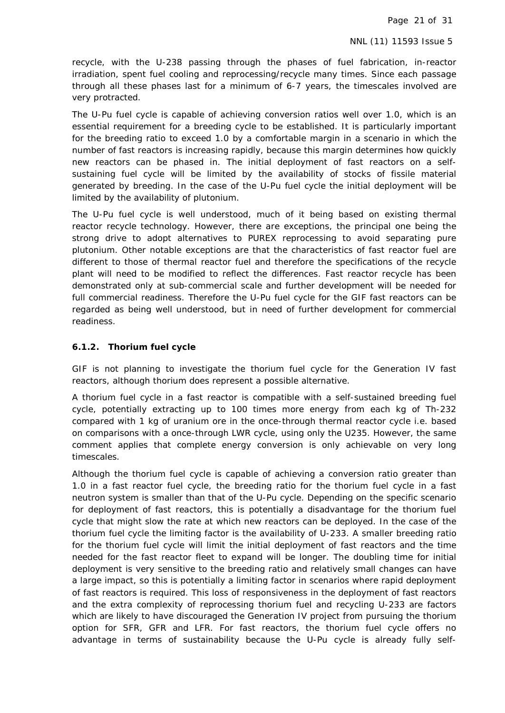recycle, with the U-238 passing through the phases of fuel fabrication, in-reactor irradiation, spent fuel cooling and reprocessing/recycle many times. Since each passage through all these phases last for a minimum of 6-7 years, the timescales involved are very protracted.

The U-Pu fuel cycle is capable of achieving conversion ratios well over 1.0, which is an essential requirement for a breeding cycle to be established. It is particularly important for the breeding ratio to exceed 1.0 by a comfortable margin in a scenario in which the number of fast reactors is increasing rapidly, because this margin determines how quickly new reactors can be phased in. The initial deployment of fast reactors on a selfsustaining fuel cycle will be limited by the availability of stocks of fissile material generated by breeding. In the case of the U-Pu fuel cycle the initial deployment will be limited by the availability of plutonium.

The U-Pu fuel cycle is well understood, much of it being based on existing thermal reactor recycle technology. However, there are exceptions, the principal one being the strong drive to adopt alternatives to PUREX reprocessing to avoid separating pure plutonium. Other notable exceptions are that the characteristics of fast reactor fuel are different to those of thermal reactor fuel and therefore the specifications of the recycle plant will need to be modified to reflect the differences. Fast reactor recycle has been demonstrated only at sub-commercial scale and further development will be needed for full commercial readiness. Therefore the U-Pu fuel cycle for the GIF fast reactors can be regarded as being well understood, but in need of further development for commercial readiness.

#### *6.1.2. Thorium fuel cycle*

GIF is not planning to investigate the thorium fuel cycle for the Generation IV fast reactors, although thorium does represent a possible alternative.

A thorium fuel cycle in a fast reactor is compatible with a self-sustained breeding fuel cycle, potentially extracting up to 100 times more energy from each kg of Th-232 compared with 1 kg of uranium ore in the once-through thermal reactor cycle i.e. based on comparisons with a once-through LWR cycle, using only the U235. However, the same comment applies that complete energy conversion is only achievable on very long timescales.

Although the thorium fuel cycle is capable of achieving a conversion ratio greater than 1.0 in a fast reactor fuel cycle, the breeding ratio for the thorium fuel cycle in a fast neutron system is smaller than that of the U-Pu cycle. Depending on the specific scenario for deployment of fast reactors, this is potentially a disadvantage for the thorium fuel cycle that might slow the rate at which new reactors can be deployed. In the case of the thorium fuel cycle the limiting factor is the availability of U-233. A smaller breeding ratio for the thorium fuel cycle will limit the initial deployment of fast reactors and the time needed for the fast reactor fleet to expand will be longer. The doubling time for initial deployment is very sensitive to the breeding ratio and relatively small changes can have a large impact, so this is potentially a limiting factor in scenarios where rapid deployment of fast reactors is required. This loss of responsiveness in the deployment of fast reactors and the extra complexity of reprocessing thorium fuel and recycling U-233 are factors which are likely to have discouraged the Generation IV project from pursuing the thorium option for SFR, GFR and LFR. For fast reactors, the thorium fuel cycle offers no advantage in terms of sustainability because the U-Pu cycle is already fully self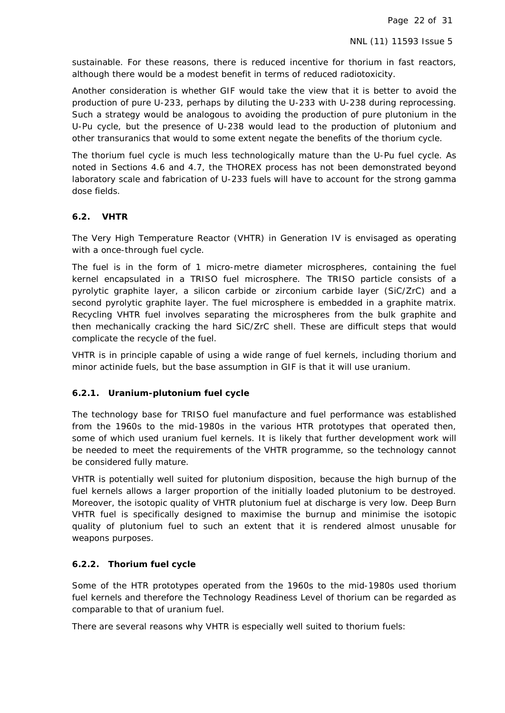sustainable. For these reasons, there is reduced incentive for thorium in fast reactors, although there would be a modest benefit in terms of reduced radiotoxicity.

Another consideration is whether GIF would take the view that it is better to avoid the production of pure U-233, perhaps by diluting the U-233 with U-238 during reprocessing. Such a strategy would be analogous to avoiding the production of pure plutonium in the U-Pu cycle, but the presence of U-238 would lead to the production of plutonium and other transuranics that would to some extent negate the benefits of the thorium cycle.

The thorium fuel cycle is much less technologically mature than the U-Pu fuel cycle. As noted in Sections 4.6 and 4.7, the THOREX process has not been demonstrated beyond laboratory scale and fabrication of U-233 fuels will have to account for the strong gamma dose fields.

## *6.2. VHTR*

The Very High Temperature Reactor (VHTR) in Generation IV is envisaged as operating with a once-through fuel cycle.

The fuel is in the form of 1 micro-metre diameter microspheres, containing the fuel kernel encapsulated in a TRISO fuel microsphere. The TRISO particle consists of a pyrolytic graphite layer, a silicon carbide or zirconium carbide layer (SiC/ZrC) and a second pyrolytic graphite layer. The fuel microsphere is embedded in a graphite matrix. Recycling VHTR fuel involves separating the microspheres from the bulk graphite and then mechanically cracking the hard SiC/ZrC shell. These are difficult steps that would complicate the recycle of the fuel.

VHTR is in principle capable of using a wide range of fuel kernels, including thorium and minor actinide fuels, but the base assumption in GIF is that it will use uranium.

#### *6.2.1. Uranium-plutonium fuel cycle*

The technology base for TRISO fuel manufacture and fuel performance was established from the 1960s to the mid-1980s in the various HTR prototypes that operated then, some of which used uranium fuel kernels. It is likely that further development work will be needed to meet the requirements of the VHTR programme, so the technology cannot be considered fully mature.

VHTR is potentially well suited for plutonium disposition, because the high burnup of the fuel kernels allows a larger proportion of the initially loaded plutonium to be destroyed. Moreover, the isotopic quality of VHTR plutonium fuel at discharge is very low. Deep Burn VHTR fuel is specifically designed to maximise the burnup and minimise the isotopic quality of plutonium fuel to such an extent that it is rendered almost unusable for weapons purposes.

#### *6.2.2. Thorium fuel cycle*

Some of the HTR prototypes operated from the 1960s to the mid-1980s used thorium fuel kernels and therefore the Technology Readiness Level of thorium can be regarded as comparable to that of uranium fuel.

There are several reasons why VHTR is especially well suited to thorium fuels: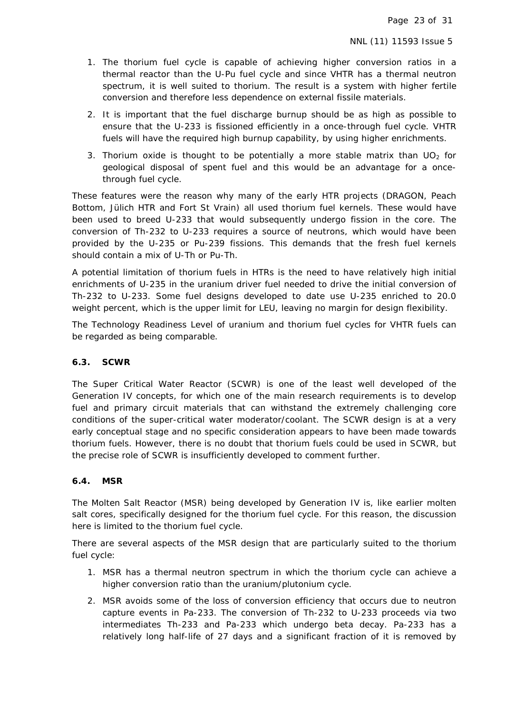- 1. The thorium fuel cycle is capable of achieving higher conversion ratios in a thermal reactor than the U-Pu fuel cycle and since VHTR has a thermal neutron spectrum, it is well suited to thorium. The result is a system with higher fertile conversion and therefore less dependence on external fissile materials.
- 2. It is important that the fuel discharge burnup should be as high as possible to ensure that the U-233 is fissioned efficiently in a once-through fuel cycle. VHTR fuels will have the required high burnup capability, by using higher enrichments.
- 3. Thorium oxide is thought to be potentially a more stable matrix than  $UO<sub>2</sub>$  for geological disposal of spent fuel and this would be an advantage for a oncethrough fuel cycle.

These features were the reason why many of the early HTR projects (DRAGON, Peach Bottom, Jülich HTR and Fort St Vrain) all used thorium fuel kernels. These would have been used to breed U-233 that would subsequently undergo fission in the core. The conversion of Th-232 to U-233 requires a source of neutrons, which would have been provided by the U-235 or Pu-239 fissions. This demands that the fresh fuel kernels should contain a mix of U-Th or Pu-Th.

A potential limitation of thorium fuels in HTRs is the need to have relatively high initial enrichments of U-235 in the uranium driver fuel needed to drive the initial conversion of Th-232 to U-233. Some fuel designs developed to date use U-235 enriched to 20.0 weight percent, which is the upper limit for LEU, leaving no margin for design flexibility.

The Technology Readiness Level of uranium and thorium fuel cycles for VHTR fuels can be regarded as being comparable.

# *6.3. SCWR*

The Super Critical Water Reactor (SCWR) is one of the least well developed of the Generation IV concepts, for which one of the main research requirements is to develop fuel and primary circuit materials that can withstand the extremely challenging core conditions of the super-critical water moderator/coolant. The SCWR design is at a very early conceptual stage and no specific consideration appears to have been made towards thorium fuels. However, there is no doubt that thorium fuels could be used in SCWR, but the precise role of SCWR is insufficiently developed to comment further.

# *6.4. MSR*

The Molten Salt Reactor (MSR) being developed by Generation IV is, like earlier molten salt cores, specifically designed for the thorium fuel cycle. For this reason, the discussion here is limited to the thorium fuel cycle.

There are several aspects of the MSR design that are particularly suited to the thorium fuel cycle:

- 1. MSR has a thermal neutron spectrum in which the thorium cycle can achieve a higher conversion ratio than the uranium/plutonium cycle.
- 2. MSR avoids some of the loss of conversion efficiency that occurs due to neutron capture events in Pa-233. The conversion of Th-232 to U-233 proceeds via two intermediates Th-233 and Pa-233 which undergo beta decay. Pa-233 has a relatively long half-life of 27 days and a significant fraction of it is removed by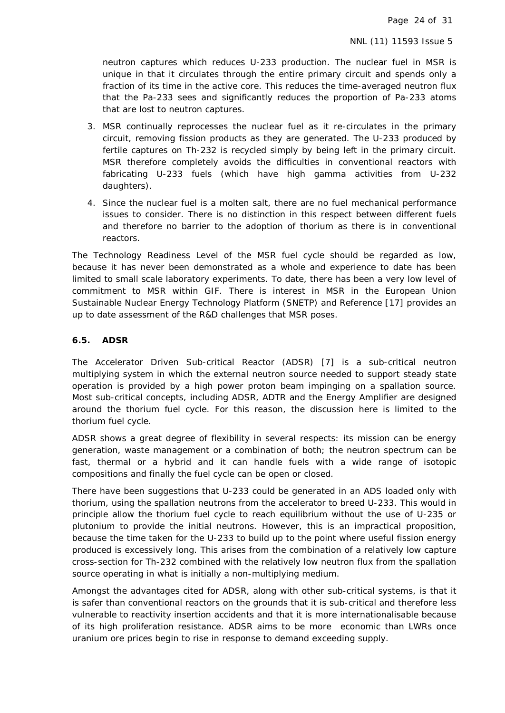neutron captures which reduces U-233 production. The nuclear fuel in MSR is unique in that it circulates through the entire primary circuit and spends only a fraction of its time in the active core. This reduces the time-averaged neutron flux that the Pa-233 sees and significantly reduces the proportion of Pa-233 atoms that are lost to neutron captures.

- 3. MSR continually reprocesses the nuclear fuel as it re-circulates in the primary circuit, removing fission products as they are generated. The U-233 produced by fertile captures on Th-232 is recycled simply by being left in the primary circuit. MSR therefore completely avoids the difficulties in conventional reactors with fabricating U-233 fuels (which have high gamma activities from U-232 daughters).
- 4. Since the nuclear fuel is a molten salt, there are no fuel mechanical performance issues to consider. There is no distinction in this respect between different fuels and therefore no barrier to the adoption of thorium as there is in conventional reactors.

The Technology Readiness Level of the MSR fuel cycle should be regarded as low, because it has never been demonstrated as a whole and experience to date has been limited to small scale laboratory experiments. To date, there has been a very low level of commitment to MSR within GIF. There is interest in MSR in the European Union Sustainable Nuclear Energy Technology Platform (SNETP) and Reference [17] provides an up to date assessment of the R&D challenges that MSR poses.

# *6.5. ADSR*

The Accelerator Driven Sub-critical Reactor (ADSR) [\[7\]](#page-7-0) is a sub-critical neutron multiplying system in which the external neutron source needed to support steady state operation is provided by a high power proton beam impinging on a spallation source. Most sub-critical concepts, including ADSR, ADTR and the Energy Amplifier are designed around the thorium fuel cycle. For this reason, the discussion here is limited to the thorium fuel cycle.

ADSR shows a great degree of flexibility in several respects: its mission can be energy generation, waste management or a combination of both; the neutron spectrum can be fast, thermal or a hybrid and it can handle fuels with a wide range of isotopic compositions and finally the fuel cycle can be open or closed.

There have been suggestions that U-233 could be generated in an ADS loaded only with thorium, using the spallation neutrons from the accelerator to breed U-233. This would in principle allow the thorium fuel cycle to reach equilibrium without the use of U-235 or plutonium to provide the initial neutrons. However, this is an impractical proposition, because the time taken for the U-233 to build up to the point where useful fission energy produced is excessively long. This arises from the combination of a relatively low capture cross-section for Th-232 combined with the relatively low neutron flux from the spallation source operating in what is initially a non-multiplying medium.

Amongst the advantages cited for ADSR, along with other sub-critical systems, is that it is safer than conventional reactors on the grounds that it is sub-critical and therefore less vulnerable to reactivity insertion accidents and that it is more internationalisable because of its high proliferation resistance. ADSR aims to be more economic than LWRs once uranium ore prices begin to rise in response to demand exceeding supply.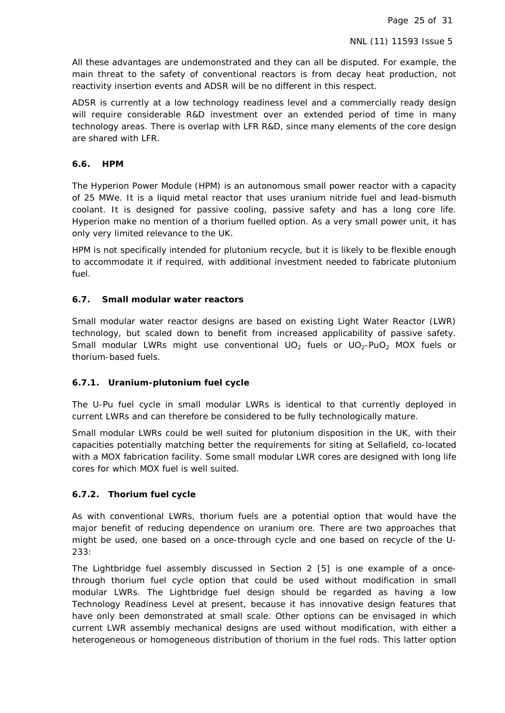All these advantages are undemonstrated and they can all be disputed. For example, the main threat to the safety of conventional reactors is from decay heat production, not reactivity insertion events and ADSR will be no different in this respect.

ADSR is currently at a low technology readiness level and a commercially ready design will require considerable R&D investment over an extended period of time in many technology areas. There is overlap with LFR R&D, since many elements of the core design are shared with LFR.

# *6.6. HPM*

The Hyperion Power Module (HPM) is an autonomous small power reactor with a capacity of 25 MWe. It is a liquid metal reactor that uses uranium nitride fuel and lead-bismuth coolant. It is designed for passive cooling, passive safety and has a long core life. Hyperion make no mention of a thorium fuelled option. As a very small power unit, it has only very limited relevance to the UK.

HPM is not specifically intended for plutonium recycle, but it is likely to be flexible enough to accommodate it if required, with additional investment needed to fabricate plutonium fuel.

# *6.7. Small modular water reactors*

Small modular water reactor designs are based on existing Light Water Reactor (LWR) technology, but scaled down to benefit from increased applicability of passive safety. Small modular LWRs might use conventional  $UO<sub>2</sub>$  fuels or  $UO<sub>2</sub>-PuO<sub>2</sub>$  MOX fuels or thorium-based fuels.

# *6.7.1. Uranium-plutonium fuel cycle*

The U-Pu fuel cycle in small modular LWRs is identical to that currently deployed in current LWRs and can therefore be considered to be fully technologically mature.

Small modular LWRs could be well suited for plutonium disposition in the UK, with their capacities potentially matching better the requirements for siting at Sellafield, co-located with a MOX fabrication facility. Some small modular LWR cores are designed with long life cores for which MOX fuel is well suited.

# *6.7.2. Thorium fuel cycle*

As with conventional LWRs, thorium fuels are a potential option that would have the major benefit of reducing dependence on uranium ore. There are two approaches that might be used, one based on a once-through cycle and one based on recycle of the U-233:

The Lightbridge fuel assembly discussed in Section 2 [\[5\]](#page-7-1) is one example of a oncethrough thorium fuel cycle option that could be used without modification in small modular LWRs. The Lightbridge fuel design should be regarded as having a low Technology Readiness Level at present, because it has innovative design features that have only been demonstrated at small scale. Other options can be envisaged in which current LWR assembly mechanical designs are used without modification, with either a heterogeneous or homogeneous distribution of thorium in the fuel rods. This latter option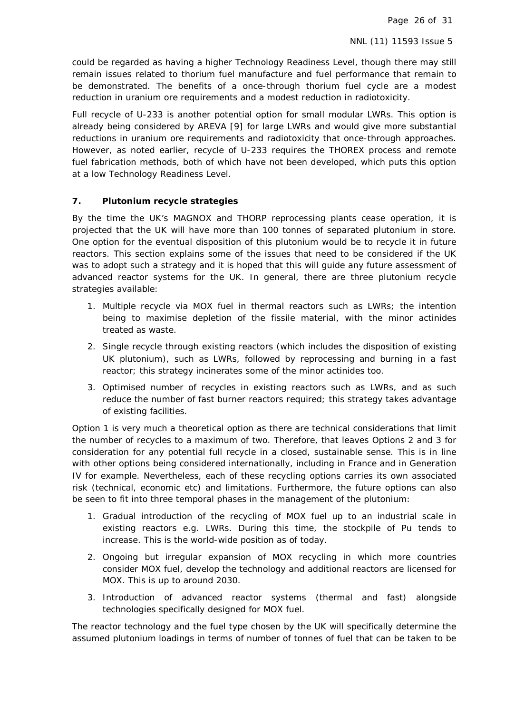could be regarded as having a higher Technology Readiness Level, though there may still remain issues related to thorium fuel manufacture and fuel performance that remain to be demonstrated. The benefits of a once-through thorium fuel cycle are a modest reduction in uranium ore requirements and a modest reduction in radiotoxicity.

Full recycle of U-233 is another potential option for small modular LWRs. This option is already being considered by AREVA [\[9\]](#page-8-1) for large LWRs and would give more substantial reductions in uranium ore requirements and radiotoxicity that once-through approaches. However, as noted earlier, recycle of U-233 requires the THOREX process and remote fuel fabrication methods, both of which have not been developed, which puts this option at a low Technology Readiness Level.

## **7. Plutonium recycle strategies**

By the time the UK's MAGNOX and THORP reprocessing plants cease operation, it is projected that the UK will have more than 100 tonnes of separated plutonium in store. One option for the eventual disposition of this plutonium would be to recycle it in future reactors. This section explains some of the issues that need to be considered if the UK was to adopt such a strategy and it is hoped that this will guide any future assessment of advanced reactor systems for the UK. In general, there are three plutonium recycle strategies available:

- 1. Multiple recycle via MOX fuel in thermal reactors such as LWRs; the intention being to maximise depletion of the fissile material, with the minor actinides treated as waste.
- 2. Single recycle through existing reactors (which includes the disposition of existing UK plutonium), such as LWRs, followed by reprocessing and burning in a fast reactor; this strategy incinerates some of the minor actinides too.
- 3. Optimised number of recycles in existing reactors such as LWRs, and as such reduce the number of fast burner reactors required; this strategy takes advantage of existing facilities.

Option 1 is very much a theoretical option as there are technical considerations that limit the number of recycles to a maximum of two. Therefore, that leaves Options 2 and 3 for consideration for any potential full recycle in a closed, sustainable sense. This is in line with other options being considered internationally, including in France and in Generation IV for example. Nevertheless, each of these recycling options carries its own associated risk (technical, economic etc) and limitations. Furthermore, the future options can also be seen to fit into three temporal phases in the management of the plutonium:

- 1. Gradual introduction of the recycling of MOX fuel up to an industrial scale in existing reactors e.g. LWRs. During this time, the stockpile of Pu tends to increase. This is the world-wide position as of today.
- 2. Ongoing but irregular expansion of MOX recycling in which more countries consider MOX fuel, develop the technology and additional reactors are licensed for MOX. This is up to around 2030.
- 3. Introduction of advanced reactor systems (thermal and fast) alongside technologies specifically designed for MOX fuel.

The reactor technology and the fuel type chosen by the UK will specifically determine the assumed plutonium loadings in terms of number of tonnes of fuel that can be taken to be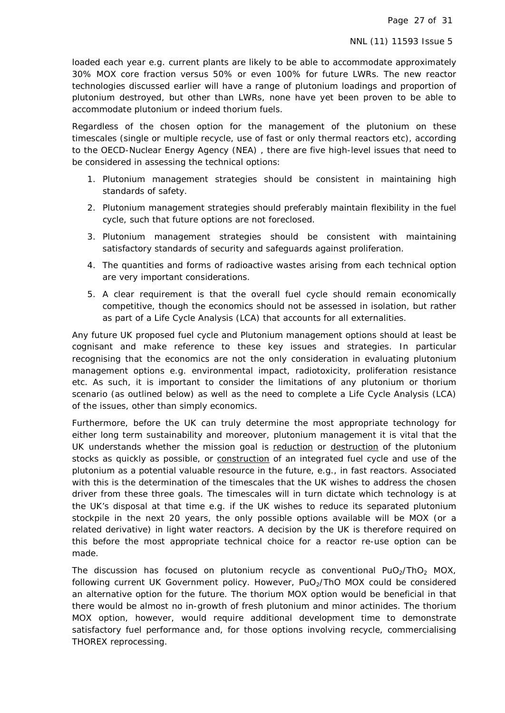loaded each year e.g. current plants are likely to be able to accommodate approximately 30% MOX core fraction versus 50% or even 100% for future LWRs. The new reactor technologies discussed earlier will have a range of plutonium loadings and proportion of plutonium destroyed, but other than LWRs, none have yet been proven to be able to accommodate plutonium or indeed thorium fuels.

Regardless of the chosen option for the management of the plutonium on these timescales (single or multiple recycle, use of fast or only thermal reactors etc), according to the OECD-Nuclear Energy Agency (NEA) , there are five high-level issues that need to be considered in assessing the technical options:

- 1. Plutonium management strategies should be consistent in maintaining high standards of safety.
- 2. Plutonium management strategies should preferably maintain flexibility in the fuel cycle, such that future options are not foreclosed.
- 3. Plutonium management strategies should be consistent with maintaining satisfactory standards of security and safeguards against proliferation.
- 4. The quantities and forms of radioactive wastes arising from each technical option are very important considerations.
- 5. A clear requirement is that the overall fuel cycle should remain economically competitive, though the economics should not be assessed in isolation, but rather as part of a Life Cycle Analysis (LCA) that accounts for all externalities.

Any future UK proposed fuel cycle and Plutonium management options should at least be cognisant and make reference to these key issues and strategies. In particular recognising that the economics are not the only consideration in evaluating plutonium management options e.g. environmental impact, radiotoxicity, proliferation resistance etc. As such, it is important to consider the limitations of any plutonium or thorium scenario (as outlined below) as well as the need to complete a Life Cycle Analysis (LCA) of the issues, other than simply economics.

Furthermore, before the UK can truly determine the most appropriate technology for either long term sustainability and moreover, plutonium management it is vital that the UK understands whether the mission goal is *reduction* or *destruction* of the plutonium stocks as quickly as possible, or *construction* of an integrated fuel cycle and use of the plutonium as a potential valuable resource in the future, e.g., in fast reactors. Associated with this is the determination of the timescales that the UK wishes to address the chosen driver from these three goals. The timescales will in turn dictate which technology is at the UK's disposal at that time e.g. if the UK wishes to reduce its separated plutonium stockpile in the next 20 years, the only possible options available will be MOX (or a related derivative) in light water reactors. A decision by the UK is therefore required on this before the most appropriate technical choice for a reactor re-use option can be made.

The discussion has focused on plutonium recycle as conventional  $PuO<sub>2</sub>/ThO<sub>2</sub> MOX$ , following current UK Government policy. However, PuO<sub>2</sub>/ThO MOX could be considered an alternative option for the future. The thorium MOX option would be beneficial in that there would be almost no in-growth of fresh plutonium and minor actinides. The thorium MOX option, however, would require additional development time to demonstrate satisfactory fuel performance and, for those options involving recycle, commercialising THOREX reprocessing.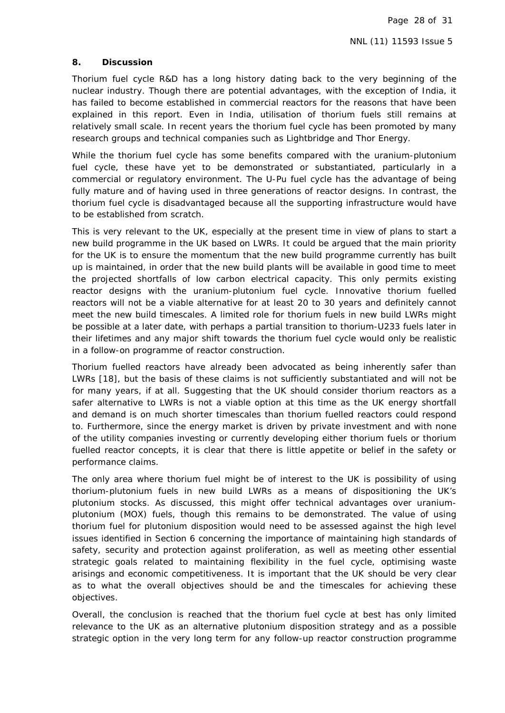# **8. Discussion**

Thorium fuel cycle R&D has a long history dating back to the very beginning of the nuclear industry. Though there are potential advantages, with the exception of India, it has failed to become established in commercial reactors for the reasons that have been explained in this report. Even in India, utilisation of thorium fuels still remains at relatively small scale. In recent years the thorium fuel cycle has been promoted by many research groups and technical companies such as Lightbridge and Thor Energy.

While the thorium fuel cycle has some benefits compared with the uranium-plutonium fuel cycle, these have yet to be demonstrated or substantiated, particularly in a commercial or regulatory environment. The U-Pu fuel cycle has the advantage of being fully mature and of having used in three generations of reactor designs. In contrast, the thorium fuel cycle is disadvantaged because all the supporting infrastructure would have to be established from scratch.

This is very relevant to the UK, especially at the present time in view of plans to start a new build programme in the UK based on LWRs. It could be argued that the main priority for the UK is to ensure the momentum that the new build programme currently has built up is maintained, in order that the new build plants will be available in good time to meet the projected shortfalls of low carbon electrical capacity. This only permits existing reactor designs with the uranium-plutonium fuel cycle. Innovative thorium fuelled reactors will not be a viable alternative for at least 20 to 30 years and definitely cannot meet the new build timescales. A limited role for thorium fuels in new build LWRs might be possible at a later date, with perhaps a partial transition to thorium-U233 fuels later in their lifetimes and any major shift towards the thorium fuel cycle would only be realistic in a follow-on programme of reactor construction.

Thorium fuelled reactors have already been advocated as being inherently safer than LWRs [18], but the basis of these claims is not sufficiently substantiated and will not be for many years, if at all. Suggesting that the UK should consider thorium reactors as a safer alternative to LWRs is not a viable option at this time as the UK energy shortfall and demand is on much shorter timescales than thorium fuelled reactors could respond to. Furthermore, since the energy market is driven by private investment and with none of the utility companies investing or currently developing either thorium fuels or thorium fuelled reactor concepts, it is clear that there is little appetite or belief in the safety or performance claims.

The only area where thorium fuel might be of interest to the UK is possibility of using thorium-plutonium fuels in new build LWRs as a means of dispositioning the UK's plutonium stocks. As discussed, this might offer technical advantages over uraniumplutonium (MOX) fuels, though this remains to be demonstrated. The value of using thorium fuel for plutonium disposition would need to be assessed against the high level issues identified in Section 6 concerning the importance of maintaining high standards of safety, security and protection against proliferation, as well as meeting other essential strategic goals related to maintaining flexibility in the fuel cycle, optimising waste arisings and economic competitiveness. It is important that the UK should be very clear as to what the overall objectives should be and the timescales for achieving these objectives.

Overall, the conclusion is reached that the thorium fuel cycle at best has only limited relevance to the UK as an alternative plutonium disposition strategy and as a possible strategic option in the very long term for any follow-up reactor construction programme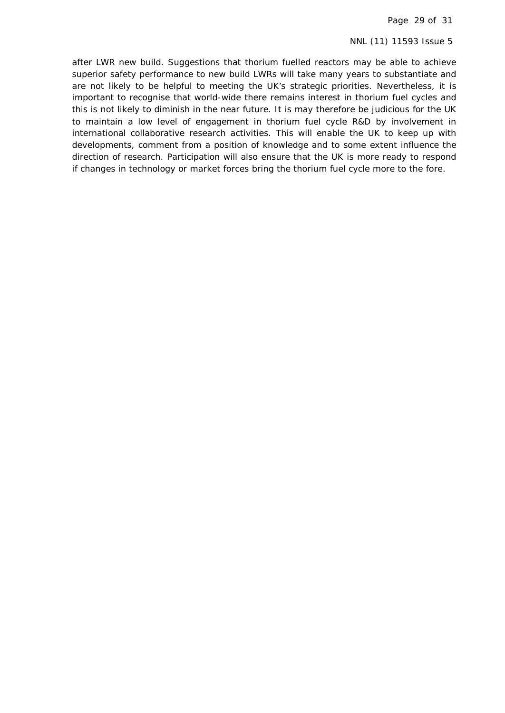NNL [\(11\)](#page-0-0) [11593](#page-0-2) Issue 5

after LWR new build. Suggestions that thorium fuelled reactors may be able to achieve superior safety performance to new build LWRs will take many years to substantiate and are not likely to be helpful to meeting the UK's strategic priorities. Nevertheless, it is important to recognise that world-wide there remains interest in thorium fuel cycles and this is not likely to diminish in the near future. It is may therefore be judicious for the UK to maintain a low level of engagement in thorium fuel cycle R&D by involvement in international collaborative research activities. This will enable the UK to keep up with developments, comment from a position of knowledge and to some extent influence the direction of research. Participation will also ensure that the UK is more ready to respond if changes in technology or market forces bring the thorium fuel cycle more to the fore.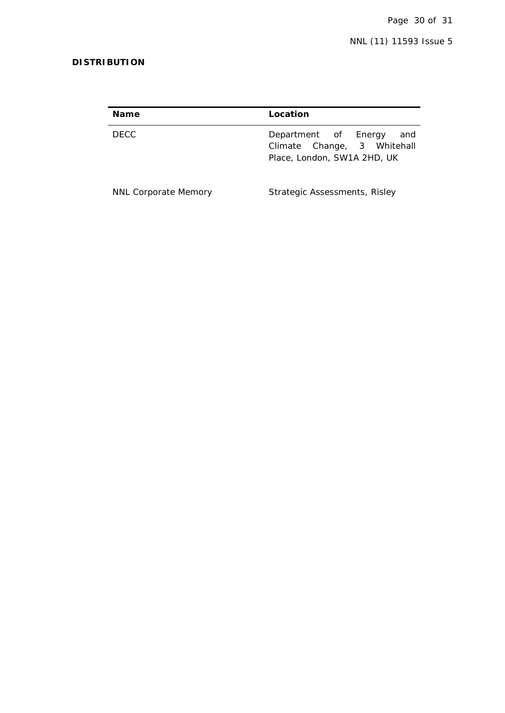# **DISTRIBUTION**

| <b>Name</b>                 | Location                                                                                  |
|-----------------------------|-------------------------------------------------------------------------------------------|
| <b>DECC</b>                 | Department of Energy<br>and<br>Climate Change, 3 Whitehall<br>Place, London, SW1A 2HD, UK |
| <b>NNL Corporate Memory</b> | <b>Strategic Assessments, Risley</b>                                                      |